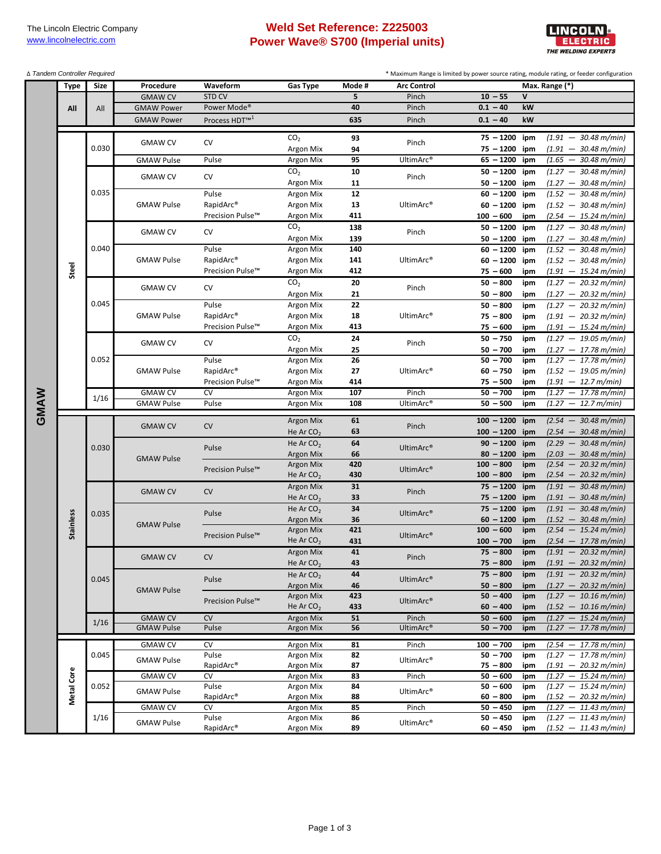## **Weld Set Reference: Z225003 Power Wave® S700 (Imperial units)**



| ∆ Tandem Controller Required |             |       |                   |                           |                          |           |                       | * Maximum Range is limited by power source rating, module rating, or feeder configuration |              |                                                                  |
|------------------------------|-------------|-------|-------------------|---------------------------|--------------------------|-----------|-----------------------|-------------------------------------------------------------------------------------------|--------------|------------------------------------------------------------------|
|                              | <b>Type</b> | Size  | Procedure         | Waveform                  | <b>Gas Type</b>          | Mode #    | <b>Arc Control</b>    |                                                                                           |              | Max. Range (*)                                                   |
|                              |             |       | <b>GMAW CV</b>    | <b>STD CV</b>             |                          | 5         | Pinch                 | $10 - 55$                                                                                 | $\mathsf{v}$ |                                                                  |
|                              | All         | All   | <b>GMAW Power</b> | Power Mode <sup>®</sup>   |                          | 40        | Pinch                 | $0.1 - 40$                                                                                | kW           |                                                                  |
|                              |             |       | <b>GMAW Power</b> | Process HDT <sup>™1</sup> |                          | 635       | Pinch                 | $0.1 - 40$                                                                                | kW           |                                                                  |
|                              |             |       |                   |                           | CO <sub>2</sub>          | 93        |                       | $75 - 1200$                                                                               | ipm          | $(1.91 - 30.48 \text{ m/min})$                                   |
|                              |             | 0.030 | <b>GMAW CV</b>    | CV                        | Argon Mix                | 94        | Pinch                 | $75 - 1200$                                                                               | ipm          | $(1.91 - 30.48 \text{ m/min})$                                   |
|                              |             |       | <b>GMAW Pulse</b> | Pulse                     | Argon Mix                | 95        | UltimArc®             | $65 - 1200$                                                                               | ipm          | $(1.65 - 30.48 \text{ m/min})$                                   |
|                              |             |       |                   |                           | CO <sub>2</sub>          | 10        |                       | $50 - 1200$                                                                               | ipm          | $(1.27 - 30.48 \text{ m/min})$                                   |
|                              |             |       | <b>GMAW CV</b>    | CV                        | Argon Mix                | 11        | Pinch                 | $50 - 1200$                                                                               | ipm          | $(1.27 - 30.48 \text{ m/min})$                                   |
|                              |             | 0.035 |                   | Pulse                     | Argon Mix                | 12        |                       | $60 - 1200$                                                                               | ipm          | $(1.52 - 30.48 \text{ m/min})$                                   |
|                              |             |       | <b>GMAW Pulse</b> | RapidArc <sup>®</sup>     | Argon Mix                | 13        | UltimArc®             | $60 - 1200$                                                                               | ipm          | $(1.52 - 30.48 \text{ m/min})$                                   |
|                              |             |       |                   | Precision Pulse™          | Argon Mix                | 411       |                       | $100 - 600$                                                                               | ipm          | $(2.54 - 15.24 m/min)$                                           |
|                              |             |       | <b>GMAW CV</b>    | CV                        | CO <sub>2</sub>          | 138       | Pinch                 | $50 - 1200$                                                                               | ipm          | $(1.27 - 30.48 \text{ m/min})$                                   |
|                              |             |       |                   |                           | Argon Mix                | 139       |                       | $50 - 1200$                                                                               | ipm          | $(1.27 - 30.48 \text{ m/min})$                                   |
|                              |             | 0.040 |                   | Pulse                     | Argon Mix                | 140       |                       | $60 - 1200$                                                                               | ipm          | $(1.52 - 30.48 \text{ m/min})$                                   |
|                              |             |       | <b>GMAW Pulse</b> | RapidArc®                 | Argon Mix                | 141       | UltimArc®             | $60 - 1200$                                                                               | ipm          | $(1.52 - 30.48 \text{ m/min})$                                   |
|                              | Steel       |       |                   | Precision Pulse™          | Argon Mix                | 412       |                       | $75 - 600$                                                                                | ipm          | $(1.91 - 15.24 \, \text{m/min})$                                 |
|                              |             |       | <b>GMAW CV</b>    | CV                        | CO <sub>2</sub>          | 20        | Pinch                 | $50 - 800$                                                                                | ipm          | $(1.27 - 20.32 \text{ m/min})$                                   |
|                              |             | 0.045 |                   | Pulse                     | Argon Mix<br>Argon Mix   | 21<br>22  |                       | $50 - 800$                                                                                | ipm          | $(1.27 - 20.32 \text{ m/min})$                                   |
|                              |             |       | <b>GMAW Pulse</b> | RapidArc®                 | Argon Mix                | 18        | UltimArc <sup>®</sup> | $50 - 800$<br>$75 - 800$                                                                  | ipm          | $(1.27 - 20.32 \text{ m/min})$<br>$(1.91 - 20.32 \text{ m/min})$ |
|                              |             |       |                   | Precision Pulse™          | Argon Mix                | 413       |                       | $75 - 600$                                                                                | ipm<br>ipm   | $(1.91 - 15.24 \text{ m/min})$                                   |
|                              |             |       |                   |                           | CO <sub>2</sub>          | 24        |                       | $50 - 750$                                                                                | ipm          | $(1.27 - 19.05 \text{ m/min})$                                   |
|                              |             | 0.052 | <b>GMAW CV</b>    | CV                        | Argon Mix                | 25        | Pinch                 | $50 - 700$                                                                                | ipm          | $(1.27 - 17.78 \text{ m/min})$                                   |
|                              |             |       | <b>GMAW Pulse</b> | Pulse                     | Argon Mix                | 26        | UltimArc®             | $50 - 700$                                                                                | ipm          | $(1.27 - 17.78 \text{ m/min})$                                   |
|                              |             |       |                   | RapidArc®                 | Argon Mix                | 27        |                       | $60 - 750$                                                                                | ipm          | $(1.52 - 19.05 \text{ m/min})$                                   |
|                              |             |       |                   | Precision Pulse™          | Argon Mix                | 414       |                       | $75 - 500$                                                                                | ipm          | $(1.91 - 12.7 m/min)$                                            |
|                              |             | 1/16  | <b>GMAW CV</b>    | CV                        | Argon Mix                | 107       | Pinch                 | $50 - 700$                                                                                | ipm          | $(1.27 - 17.78 \text{ m/min})$                                   |
|                              |             |       |                   |                           |                          |           |                       |                                                                                           |              |                                                                  |
|                              |             |       | <b>GMAW Pulse</b> | Pulse                     | Argon Mix                | 108       | UltimArc®             | $50 - 500$                                                                                | ipm          | $(1.27 - 12.7 m/min)$                                            |
|                              |             |       |                   |                           | <b>Argon Mix</b>         | 61        |                       | $100 - 1200$                                                                              | ipm          | $(2.54 - 30.48 \text{ m/min})$                                   |
| GMAW                         |             |       | <b>GMAW CV</b>    | CV                        | He Ar $CO2$              | 63        | Pinch                 | $100 - 1200$                                                                              | ipm          | $(2.54 - 30.48 \text{ m/min})$                                   |
|                              |             |       |                   |                           | He Ar $CO2$              | 64        |                       | $90 - 1200$                                                                               | ipm          | $(2.29 - 30.48 \text{ m/min})$                                   |
|                              |             | 0.030 |                   | Pulse                     | Argon Mix                | 66        | UltimArc®             | $80 - 1200$                                                                               | ipm          | $(2.03 - 30.48 \text{ m/min})$                                   |
|                              |             |       | <b>GMAW Pulse</b> |                           | <b>Argon Mix</b>         | 420       |                       | $100 - 800$                                                                               | ipm          | $(2.54 - 20.32 \text{ m/min})$                                   |
|                              |             |       |                   | Precision Pulse™          | He Ar $CO2$              | 430       | UltimArc®             | $100 - 800$                                                                               | ipm          | $(2.54 - 20.32 \text{ m/min})$                                   |
|                              |             |       | <b>GMAW CV</b>    | CV                        | Argon Mix                | 31        | Pinch                 | $75 - 1200$                                                                               | ipm          | $(1.91 - 30.48 \text{ m/min})$                                   |
|                              |             |       |                   |                           | He Ar $CO2$              | 33        |                       | $75 - 1200$                                                                               | ipm          | $(1.91 - 30.48 \text{ m/min})$                                   |
|                              |             | 0.035 |                   | Pulse                     | He Ar $CO2$              | 34        | UltimArc®             | $75 - 1200$                                                                               | ipm          | $(1.91 - 30.48 \text{ m/min})$                                   |
|                              |             |       | <b>GMAW Pulse</b> |                           | Argon Mix                | 36        |                       | $60 - 1200$                                                                               | ipm          | $(1.52 - 30.48 \text{ m/min})$                                   |
|                              | Stainless   |       |                   | Precision Pulse™          | <b>Argon Mix</b>         | 421       | UltimArc®             | $100 - 600$                                                                               | ipm          | $(2.54 - 15.24 m/min)$                                           |
|                              |             |       |                   |                           | He Ar $CO2$              | 431<br>41 |                       | $100 - 700$<br>$75 - 800$                                                                 | ipm          | $(2.54 - 17.78 \text{ m/min})$                                   |
|                              |             |       | <b>GMAW CV</b>    | CV                        | Argon Mix<br>He Ar $CO2$ | 43        | Pinch                 | $75 - 800$                                                                                | ipm<br>ipm   | $(1.91 - 20.32 \text{ m/min})$<br>$(1.91 - 20.32 \text{ m/min})$ |
|                              |             |       |                   |                           | He Ar $CO2$              | 44        |                       | $75 - 800$                                                                                | ipm          | $(1.91 - 20.32 \text{ m/min})$                                   |
|                              |             | 0.045 |                   | Pulse                     | <b>Argon Mix</b>         | 46        | UltimArc®             | $50 - 800$                                                                                | ipm          | $(1.27 - 20.32 \text{ m/min})$                                   |
|                              |             |       | <b>GMAW Pulse</b> |                           | Argon Mix                | 423       |                       | $50 - 400$                                                                                | ipm          | $(1.27 - 10.16 \text{ m/min})$                                   |
|                              |             |       |                   | Precision Pulse™          | He Ar $CO2$              | 433       | UltimArc®             | $60 - 400$                                                                                | ipm          | $(1.52 - 10.16 \text{ m/min})$                                   |
|                              |             | 1/16  | <b>GMAW CV</b>    | CV                        | Argon Mix                | 51        | Pinch                 | $50 - 600$                                                                                | ipm          | $(1.27 - 15.24 \text{ m/min})$                                   |
|                              |             |       | <b>GMAW Pulse</b> | Pulse                     | <b>Argon Mix</b>         | 56        | UltimArc®             | $50 - 700$                                                                                | ipm          | $(1.27 - 17.78 \text{ m/min})$                                   |
|                              |             |       | <b>GMAW CV</b>    | CV                        | Argon Mix                | 81        | Pinch                 | $100 - 700$                                                                               | ipm          | $(2.54 - 17.78 \text{ m/min})$                                   |
|                              |             | 0.045 | <b>GMAW Pulse</b> | Pulse                     | Argon Mix                | 82        | UltimArc®             | $50 - 700$                                                                                | ipm          | $(1.27 - 17.78 \text{ m/min})$                                   |
|                              |             |       |                   | RapidArc®                 | Argon Mix                | 87        |                       | $75 - 800$                                                                                | ipm          | $(1.91 - 20.32 \text{ m/min})$                                   |
|                              |             |       | <b>GMAW CV</b>    | CV                        | Argon Mix                | 83        | Pinch                 | $50 - 600$                                                                                | ipm          | $(1.27 - 15.24 \, \text{m/min})$                                 |
|                              |             | 0.052 | <b>GMAW Pulse</b> | Pulse                     | Argon Mix                | 84        | UltimArc®             | $50 - 600$                                                                                | ipm          | $(1.27 - 15.24 \text{ m/min})$                                   |
|                              | Metal Core  |       | <b>GMAW CV</b>    | RapidArc®<br>CV           | Argon Mix<br>Argon Mix   | 88        | Pinch                 | $60 - 800$                                                                                | ipm<br>ipm   | $(1.52 - 20.32 \text{ m/min})$                                   |
|                              |             | 1/16  | <b>GMAW Pulse</b> | Pulse                     | Argon Mix                | 85<br>86  | UltimArc®             | $50 - 450$<br>$50 - 450$                                                                  | ipm          | $(1.27 - 11.43 \text{ m/min})$<br>$(1.27 - 11.43 \text{ m/min})$ |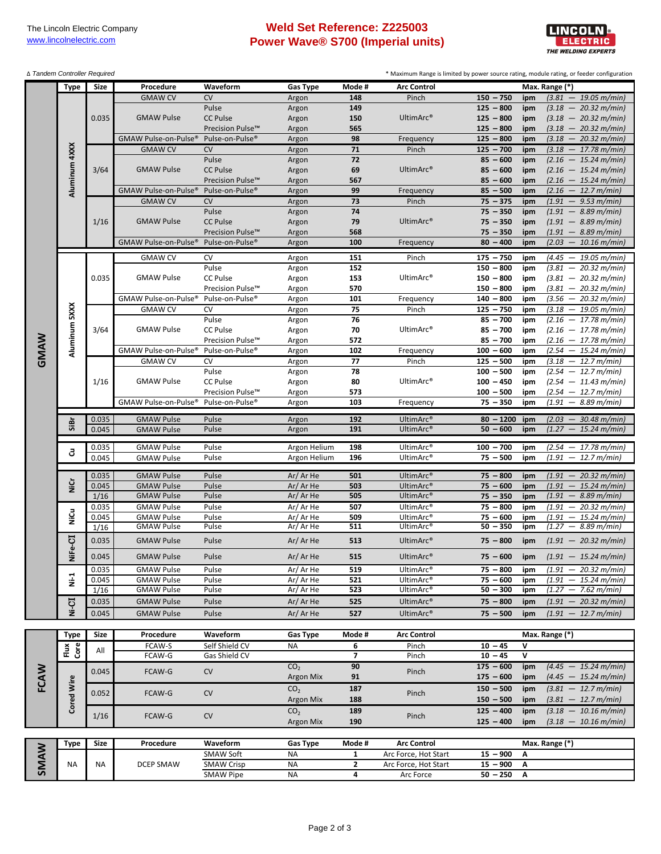## **Weld Set Reference: Z225003 Power Wave® S700 (Imperial units)**



| ∆ Tandem Controller Required |               |       |                                  |                             |                  |                |                       |             | * Maximum Range is limited by power source rating, module rating, or feeder configuration |
|------------------------------|---------------|-------|----------------------------------|-----------------------------|------------------|----------------|-----------------------|-------------|-------------------------------------------------------------------------------------------|
|                              | <b>Type</b>   | Size  | Procedure                        | Waveform                    | <b>Gas Type</b>  | Mode#          | <b>Arc Control</b>    |             | Max. Range (*)                                                                            |
|                              |               |       | <b>GMAW CV</b>                   | <b>CV</b>                   | Argon            | 148            | Pinch                 | $150 - 750$ | $(3.81 - 19.05 \text{ m/min})$<br>ipm                                                     |
|                              |               | 0.035 |                                  | Pulse                       | Argon            | 149            |                       | $125 - 800$ | $(3.18 - 20.32 \text{ m/min})$<br>ipm                                                     |
|                              |               |       | <b>GMAW Pulse</b>                | <b>CC Pulse</b>             | Argon            | 150            | UltimArc <sup>®</sup> | $125 - 800$ | $(3.18 - 20.32 \text{ m/min})$<br>ipm                                                     |
|                              |               |       |                                  | Precision Pulse™            | Argon            | 565            |                       | $125 - 800$ | $(3.18 - 20.32 \text{ m/min})$<br>ipm                                                     |
|                              |               |       | GMAW Pulse-on-Pulse®             | Pulse-on-Pulse <sup>®</sup> | Argon            | 98             | Frequency             | $125 - 800$ | $(3.18 - 20.32 \text{ m/min})$<br>ipm                                                     |
|                              | Aluminum 4XXX |       | <b>GMAW CV</b>                   | CV                          | Argon            | 71             | Pinch                 | $125 - 700$ | $(3.18 - 17.78 \text{ m/min})$<br>ipm                                                     |
|                              |               | 3/64  |                                  | Pulse                       | Argon            | 72             |                       | $85 - 600$  | $(2.16 - 15.24 \text{ m/min})$<br>ipm                                                     |
|                              |               |       | <b>GMAW Pulse</b>                | <b>CC Pulse</b>             | Argon            | 69             | UltimArc <sup>®</sup> | $85 - 600$  | $(2.16 - 15.24 \text{ m/min})$<br>ipm                                                     |
|                              |               |       |                                  | Precision Pulse™            | Argon            | 567            |                       | $85 - 600$  | $(2.16 - 15.24 \text{ m/min})$<br>ipm                                                     |
|                              |               |       | GMAW Pulse-on-Pulse®             | Pulse-on-Pulse <sup>®</sup> | Argon            | 99             | Frequency             | $85 - 500$  | $(2.16 - 12.7 m/min)$<br>ipm                                                              |
|                              |               |       | <b>GMAW CV</b>                   | CV                          | Argon            | 73             | Pinch                 | $75 - 375$  | $(1.91 - 9.53 \text{ m/min})$<br>ipm                                                      |
|                              |               |       |                                  | Pulse                       | Argon            | 74             |                       | $75 - 350$  | $(1.91 - 8.89 \text{ m/min})$<br>ipm                                                      |
|                              |               | 1/16  | <b>GMAW Pulse</b>                | <b>CC Pulse</b>             | Argon            | 79             | UltimArc <sup>®</sup> | $75 - 350$  | $(1.91 - 8.89 \,\mathrm{m/min})$<br>ipm                                                   |
|                              |               |       |                                  | Precision Pulse™            | Argon            | 568            |                       | $75 - 350$  | $(1.91 - 8.89 \text{ m/min})$<br>ipm                                                      |
|                              |               |       | GMAW Pulse-on-Pulse®             | Pulse-on-Pulse <sup>®</sup> | Argon            | 100            | Frequency             | $80 - 400$  | $(2.03 - 10.16 \text{ m/min})$<br>ipm                                                     |
|                              |               |       |                                  |                             |                  |                |                       |             |                                                                                           |
|                              |               |       | <b>GMAW CV</b>                   | CV                          | Argon            | 151            | Pinch                 | $175 - 750$ | $(4.45 - 19.05 m/min)$<br>ipm                                                             |
|                              |               |       |                                  | Pulse                       | Argon            | 152            |                       | $150 - 800$ | $(3.81 - 20.32 \text{ m/min})$<br>ipm                                                     |
|                              |               | 0.035 | <b>GMAW Pulse</b>                | CC Pulse                    | Argon            | 153            | UltimArc <sup>®</sup> | $150 - 800$ | $(3.81 - 20.32 \text{ m/min})$<br>ipm                                                     |
|                              |               |       |                                  | Precision Pulse™            | Argon            | 570            |                       | $150 - 800$ | $(3.81 - 20.32 \text{ m/min})$<br>ipm                                                     |
|                              |               |       | GMAW Pulse-on-Pulse®             | Pulse-on-Pulse <sup>®</sup> | Argon            | 101            | Frequency             | $140 - 800$ | $(3.56 - 20.32 m/min)$<br>ipm                                                             |
|                              | Aluminum 5XXX |       | <b>GMAW CV</b>                   | CV                          | Argon            | 75             | Pinch                 | $125 - 750$ | $(3.18 - 19.05 \text{ m/min})$<br>ipm                                                     |
|                              |               |       |                                  | Pulse                       | Argon            | 76             |                       | $85 - 700$  | $(2.16 - 17.78 \text{ m/min})$<br>ipm                                                     |
|                              |               | 3/64  | <b>GMAW Pulse</b>                | CC Pulse                    | Argon            | 70             | UltimArc <sup>®</sup> | $85 - 700$  | $(2.16 - 17.78 \text{ m/min})$<br>ipm                                                     |
|                              |               |       |                                  | Precision Pulse™            | Argon            | 572            |                       | $85 - 700$  | $(2.16 - 17.78 \text{ m/min})$<br>ipm                                                     |
|                              |               |       | GMAW Pulse-on-Pulse®             | Pulse-on-Pulse®             | Argon            | 102            | Frequency             | $100 - 600$ | $(2.54 - 15.24 \text{ m/min})$<br>ipm                                                     |
| GMAW                         |               |       | <b>GMAW CV</b>                   | CV                          | Argon            | 77             | Pinch                 | $125 - 500$ | $(3.18 - 12.7 m/min)$<br>ipm                                                              |
|                              |               |       |                                  | Pulse                       | Argon            | 78             |                       | $100 - 500$ | $(2.54 - 12.7 m/min)$<br>ipm                                                              |
|                              |               | 1/16  | <b>GMAW Pulse</b>                | CC Pulse                    | Argon            | 80             | UltimArc <sup>®</sup> | $100 - 450$ | $(2.54 - 11.43 \text{ m/min})$<br>ipm                                                     |
|                              |               |       |                                  | Precision Pulse™            | Argon            | 573            |                       | $100 - 500$ | $(2.54 - 12.7 m/min)$<br>ipm                                                              |
|                              |               |       | GMAW Pulse-on-Pulse <sup>®</sup> | Pulse-on-Pulse <sup>®</sup> | Argon            | 103            | Frequency             | $75 - 350$  | $(1.91 - 8.89 \,\mathrm{m/min})$<br>ipm                                                   |
|                              |               | 0.035 | <b>GMAW Pulse</b>                | Pulse                       | Argon            | 192            | UltimArc®             | $80 - 1200$ | $(2.03 - 30.48 \text{ m/min})$<br>ipm                                                     |
|                              | SiBr          | 0.045 | <b>GMAW Pulse</b>                | Pulse                       | Argon            | 191            | UltimArc®             | $50 - 600$  | $(1.27 - 15.24 \text{ m/min})$<br>ipm                                                     |
|                              |               |       |                                  |                             |                  |                |                       |             |                                                                                           |
|                              | 3             | 0.035 | <b>GMAW Pulse</b>                | Pulse                       | Argon Helium     | 198            | UltimArc®             | $100 - 700$ | $(2.54 - 17.78 \text{ m/min})$<br>ipm                                                     |
|                              |               | 0.045 | <b>GMAW Pulse</b>                | Pulse                       | Argon Helium     | 196            | UltimArc®             | $75 - 500$  | $(1.91 - 12.7 m/min)$<br>ipm                                                              |
|                              |               |       |                                  |                             |                  |                |                       |             |                                                                                           |
|                              |               | 0.035 | <b>GMAW Pulse</b>                | Pulse                       | Ar/Ar He         | 501            | UltimArc®             | $75 - 800$  | $(1.91 - 20.32 \text{ m/min})$<br>ipm                                                     |
|                              | NiCr          | 0.045 | <b>GMAW Pulse</b>                | Pulse                       | Ar/Ar He         | 503            | UltimArc®             | $75 - 600$  | $(1.91 - 15.24 \text{ m/min})$<br>ipm                                                     |
|                              |               | 1/16  | <b>GMAW Pulse</b>                | Pulse                       | Ar/Ar He         | 505            | UltimArc®             | $75 - 350$  | $(1.91 - 8.89 \text{ m/min})$<br>ipm                                                      |
|                              |               | 0.035 | <b>GMAW Pulse</b>                | Pulse                       | Ar/Ar He         | 507            | UltimArc®             | $75 - 800$  | $(1.91 - 20.32 \text{ m/min})$<br>ipm                                                     |
|                              | NiCu          | 0.045 | <b>GMAW Pulse</b>                | Pulse                       | Ar/Ar He         | 509            | UltimArc <sup>®</sup> | $75 - 600$  | $(1.91 - 15.24 \text{ m/min})$<br>ipm                                                     |
|                              |               | 1/16  | <b>GMAW Pulse</b>                | Pulse                       | Ar/Ar He         | 511            | UltimArc®             | $50 - 350$  | $(1.27 - 8.89 \,\mathrm{m/min})$<br>ipm                                                   |
|                              | $-6 -$        | 0.035 | <b>GMAW Pulse</b>                | Pulse                       | Ar/Ar He         | 513            | UltimArc®             | $75 - 800$  | $(1.91 - 20.32 \text{ m/min})$<br>ipm                                                     |
|                              |               | 0.045 | <b>GMAW Pulse</b>                | Pulse                       | Ar/Ar He         | 515            | UltimArc®             | $75 - 600$  | $(1.91 - 15.24 \text{ m/min})$                                                            |
|                              | Ξ             |       |                                  |                             |                  |                |                       |             | ipm                                                                                       |
|                              |               | 0.035 | <b>GMAW Pulse</b>                | Pulse                       | Ar/Ar He         | 519            | UltimArc®             | $75 - 800$  | $(1.91 - 20.32 \text{ m/min})$<br>ipm                                                     |
|                              | $N-1$         | 0.045 | <b>GMAW Pulse</b>                | Pulse                       | Ar/Ar He         | 521            | UltimArc®             | $75 - 600$  | $(1.91 - 15.24 \text{ m/min})$<br>ipm                                                     |
|                              |               | 1/16  | <b>GMAW Pulse</b>                | Pulse                       | Ar/Ar He         | 523            | UltimArc®             | $50 - 300$  | $(1.27 - 7.62 \text{ m/min})$<br>ipm                                                      |
|                              | Ni-CI         | 0.035 | <b>GMAW Pulse</b>                | Pulse                       | Ar/Ar He         | 525            | UltimArc <sup>®</sup> | $75 - 800$  | $(1.91 - 20.32 \text{ m/min})$<br>ipm                                                     |
|                              |               | 0.045 | <b>GMAW Pulse</b>                | Pulse                       | Ar/Ar He         | 527            | UltimArc®             | $75 - 500$  | $(1.91 - 12.7 m/min)$<br>ipm                                                              |
|                              |               |       |                                  |                             |                  |                |                       |             |                                                                                           |
|                              | <b>Type</b>   | Size  | Procedure                        | Waveform                    | <b>Gas Type</b>  | Mode #         | <b>Arc Control</b>    |             | Max. Range (*)                                                                            |
|                              | Flux<br>Core  | All   | FCAW-S                           | Self Shield CV              | <b>NA</b>        | 6              | Pinch                 | $10 - 45$   | v                                                                                         |
|                              |               |       | FCAW-G                           | Gas Shield CV               |                  | $\overline{7}$ | Pinch                 | $10 - 45$   | V                                                                                         |
| FCAW                         |               | 0.045 | FCAW-G                           | <b>CV</b>                   | CO <sub>2</sub>  | 90             | Pinch                 | $175 - 600$ | $(4.45 - 15.24 \text{ m/min})$<br>ipm                                                     |
|                              |               |       |                                  |                             | <b>Argon Mix</b> | 91             |                       | $175 - 600$ | $(4.45 - 15.24 m/min)$<br>ipm                                                             |
|                              | Cored Wire    | 0.052 | FCAW-G                           | CV                          | CO <sub>2</sub>  | 187            | Pinch                 | $150 - 500$ | $(3.81 - 12.7 m/min)$<br>ipm                                                              |
|                              |               |       |                                  |                             | Argon Mix        | 188            |                       | $150 - 500$ | $(3.81 - 12.7 m/min)$<br>ipm                                                              |
|                              |               | 1/16  | FCAW-G                           | CV                          | CO <sub>2</sub>  | 189            | Pinch                 | $125 - 400$ | $(3.18 - 10.16 \text{ m/min})$<br>ipm                                                     |
|                              |               |       |                                  |                             | Argon Mix        | 190            |                       | $125 - 400$ | $(3.18 - 10.16 \text{ m/min})$<br>ipm                                                     |
|                              |               |       |                                  |                             |                  |                |                       |             |                                                                                           |
|                              | Type          | Size  | Procedure                        | Waveform                    | Gas Type         | Mode #         | <b>Arc Control</b>    |             | Max. Range (*)                                                                            |
| SMAW                         |               |       |                                  | SMAW Soft                   | ΝA               | 1              | Arc Force, Hot Start  | $15 - 900$  | А                                                                                         |
|                              | NA            | NA    | DCEP SMAW                        | <b>SMAW Crisp</b>           | <b>NA</b>        | $\mathbf{2}$   | Arc Force, Hot Start  | $15 - 900$  | Α                                                                                         |
|                              |               |       |                                  | <b>SMAW Pipe</b>            | NA               | 4              | Arc Force             | $50 - 250$  | Α                                                                                         |